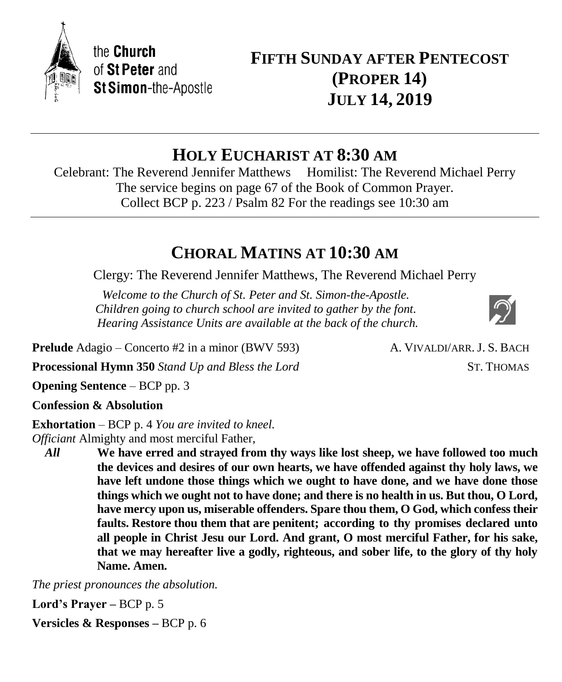

# **HOLY EUCHARIST AT 8:30 AM**

Celebrant: The Reverend Jennifer Matthews Homilist: The Reverend Michael Perry The service begins on page 67 of the Book of Common Prayer. Collect BCP p. 223 / Psalm 82 For the readings see 10:30 am

# **CHORAL MATINS AT 10:30 AM**

Clergy: The Reverend Jennifer Matthews, The Reverend Michael Perry

*Welcome to the Church of St. Peter and St. Simon-the-Apostle. Children going to church school are invited to gather by the font. Hearing Assistance Units are available at the back of the church.*

**Prelude** Adagio – Concerto #2 in a minor (BWV 593) A. VIVALDI/ARR. J. S. BACH

**Processional Hymn 350** *Stand Up and Bless the Lord* ST. THOMAS

**Opening Sentence** – BCP pp. 3

**Confession & Absolution**

**Exhortation** – BCP p. 4 *You are invited to kneel. Officiant* Almighty and most merciful Father,

*All* **We have erred and strayed from thy ways like lost sheep, we have followed too much the devices and desires of our own hearts, we have offended against thy holy laws, we have left undone those things which we ought to have done, and we have done those things which we ought not to have done; and there is no health in us. But thou, O Lord, have mercy upon us, miserable offenders. Spare thou them, O God, which confess their faults. Restore thou them that are penitent; according to thy promises declared unto all people in Christ Jesu our Lord. And grant, O most merciful Father, for his sake, that we may hereafter live a godly, righteous, and sober life, to the glory of thy holy Name. Amen.**

*The priest pronounces the absolution.*

**Lord's Prayer –** BCP p. 5

**Versicles & Responses –** BCP p. 6

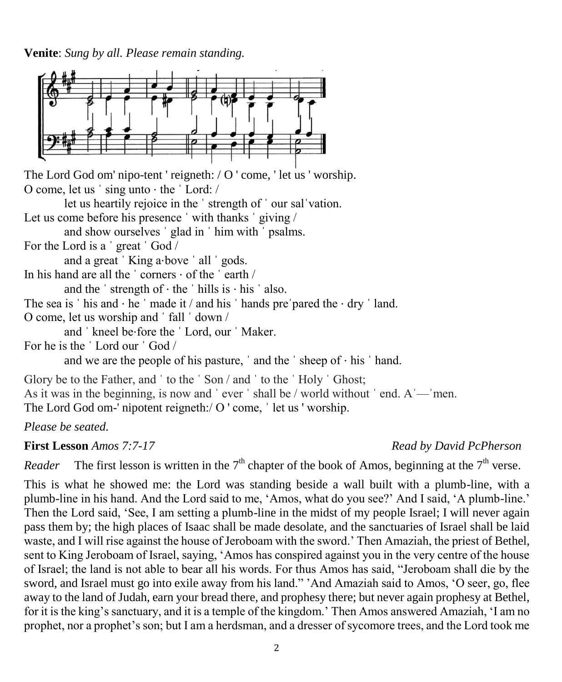**Venite**: *Sung by all. Please remain standing.*



The Lord God om' nipo-tent ' reigneth: / O ' come, ' let us ' worship. O come, let us ˈ sing unto ⋅ the ˈ Lord: /

let us heartily rejoice in the ˈ strength of ˈ our salˈvation. Let us come before his presence 'with thanks 'giving /

and show ourselves ˈ glad in ˈ him with ˈ psalms.

For the Lord is a ˈ great ˈ God /

and a great 'King a⋅bove ' all ' gods.

In his hand are all the  $\cdot$  corners  $\cdot$  of the  $\cdot$  earth /

and the  $\cdot$  strength of  $\cdot$  the  $\cdot$  hills is  $\cdot$  his  $\cdot$  also.

The sea is ' his and  $\cdot$  he ' made it / and his ' hands pre' pared the  $\cdot$  dry ' land.

O come, let us worship and ˈ fall ˈ down /

and ˈ kneel be⋅fore the ˈ Lord, our ˈ Maker.

For he is the ˈ Lord our ˈ God /

and we are the people of his pasture,  $\alpha$  and the  $\beta$  sheep of  $\alpha$  his  $\beta$  hand.

Glory be to the Father, and ' to the ' Son / and ' to the ' Holy ' Ghost; As it was in the beginning, is now and 'ever' shall be / world without 'end. A — men. The Lord God om-' nipotent reigneth:/ O ' come, ' let us ' worship.

*Please be seated.*

**First Lesson** *Amos 7:7-17 Read by David PcPherson*

*Reader* The first lesson is written in the  $7<sup>th</sup>$  chapter of the book of Amos, beginning at the  $7<sup>th</sup>$  verse.

This is what he showed me: the Lord was standing beside a wall built with a plumb-line, with a plumb-line in his hand. And the Lord said to me, 'Amos, what do you see?' And I said, 'A plumb-line.' Then the Lord said, 'See, I am setting a plumb-line in the midst of my people Israel; I will never again pass them by; the high places of Isaac shall be made desolate, and the sanctuaries of Israel shall be laid waste, and I will rise against the house of Jeroboam with the sword.' Then Amaziah, the priest of Bethel, sent to King Jeroboam of Israel, saying, 'Amos has conspired against you in the very centre of the house of Israel; the land is not able to bear all his words. For thus Amos has said, "Jeroboam shall die by the sword, and Israel must go into exile away from his land." 'And Amaziah said to Amos, 'O seer, go, flee away to the land of Judah, earn your bread there, and prophesy there; but never again prophesy at Bethel, for it is the king's sanctuary, and it is a temple of the kingdom.' Then Amos answered Amaziah, 'I am no prophet, nor a prophet's son; but I am a herdsman, and a dresser of sycomore trees, and the Lord took me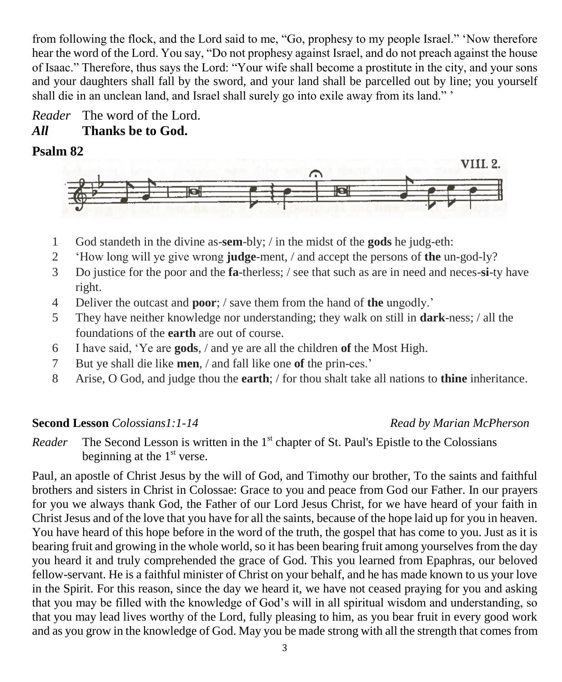from following the flock, and the Lord said to me, "Go, prophesy to my people Israel." 'Now therefore hear the word of the Lord. You say, "Do not prophesy against Israel, and do not preach against the house of Isaac." Therefore, thus says the Lord: "Your wife shall become a prostitute in the city, and your sons and your daughters shall fall by the sword, and your land shall be parcelled out by line; you yourself shall die in an unclean land, and Israel shall surely go into exile away from its land." '

*Reader* The word of the Lord. *All* **Thanks be to God.**

## **Psalm 82**



- 1 God standeth in the divine as-**sem**-bly; / in the midst of the **gods** he judg-eth:
- 2 'How long will ye give wrong **judge**-ment, / and accept the persons of **the** un-god-ly?
- 3 Do justice for the poor and the **fa**-therless; / see that such as are in need and neces-**si**-ty have right.
- 4 Deliver the outcast and **poor**; / save them from the hand of **the** ungodly.'
- 5 They have neither knowledge nor understanding; they walk on still in **dark**-ness; / all the foundations of the **earth** are out of course.
- 6 I have said, 'Ye are **gods**, / and ye are all the children **of** the Most High.
- 7 But ye shall die like **men**, / and fall like one **of** the prin-ces.'
- 8 Arise, O God, and judge thou the **earth**; / for thou shalt take all nations to **thine** inheritance.

### **Second Lesson** *Colossians1:1-14 Read by Marian McPherson*

Reader The Second Lesson is written in the 1<sup>st</sup> chapter of St. Paul's Epistle to the Colossians beginning at the  $1<sup>st</sup>$  verse.

Paul, an apostle of Christ Jesus by the will of God, and Timothy our brother, To the saints and faithful brothers and sisters in Christ in Colossae: Grace to you and peace from God our Father. In our prayers for you we always thank God, the Father of our Lord Jesus Christ, for we have heard of your faith in Christ Jesus and of the love that you have for all the saints, because of the hope laid up for you in heaven. You have heard of this hope before in the word of the truth, the gospel that has come to you. Just as it is bearing fruit and growing in the whole world, so it has been bearing fruit among yourselves from the day you heard it and truly comprehended the grace of God. This you learned from Epaphras, our beloved fellow-servant. He is a faithful minister of Christ on your behalf, and he has made known to us your love in the Spirit. For this reason, since the day we heard it, we have not ceased praying for you and asking that you may be filled with the knowledge of God's will in all spiritual wisdom and understanding, so that you may lead lives worthy of the Lord, fully pleasing to him, as you bear fruit in every good work and as you grow in the knowledge of God. May you be made strong with all the strength that comes from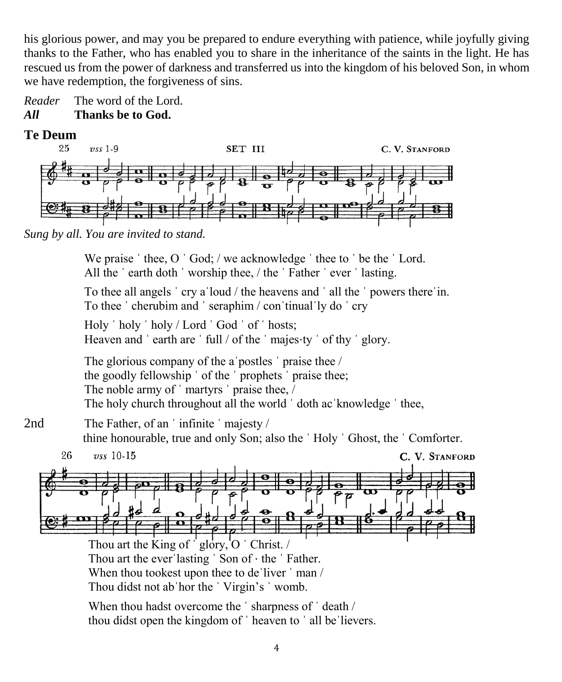his glorious power, and may you be prepared to endure everything with patience, while joyfully giving thanks to the Father, who has enabled you to share in the inheritance of the saints in the light. He has rescued us from the power of darkness and transferred us into the kingdom of his beloved Son, in whom we have redemption, the forgiveness of sins.



*All* **Thanks be to God.**

**Te Deum** 



*Sung by all. You are invited to stand.*

We praise 'thee, O 'God; / we acknowledge 'thee to 'be the 'Lord. All the 'earth doth 'worship thee, / the 'Father 'ever 'lasting.

To thee all angels ˈ cry aˈloud / the heavens and ˈ all the ˈ powers thereˈin. To thee ˈ cherubim and ˈ seraphim / conˈtinualˈly do ˈ cry

Holy ˈ holy ˈ holy / Lord ˈ God ˈ of ˈ hosts; Heaven and 'earth are ' full / of the ' majes⋅ty ' of thy ' glory.

The glorious company of the aˈpostles ˈ praise thee / the goodly fellowship ˈ of the ˈ prophets ˈ praise thee; The noble army of 'martyrs' praise thee, / The holy church throughout all the world 'doth ac knowledge ' thee,

2nd The Father, of an 'infinite 'majesty / thine honourable, true and only Son; also the ˈ Holy ˈ Ghost, the ˈ Comforter.



Thou art the King of  $\dot{\text{g}}$  glory, O  $\dot{\text{Christ}}$ . Thou art the everˈlasting ˈ Son of ⋅ the ˈ Father. When thou tookest upon thee to de liver  $\cdot$  man / Thou didst not abˈhor the ˈ Virgin's ˈ womb.

When thou hadst overcome the 'sharpness of 'death / thou didst open the kingdom of ˈ heaven to ˈ all beˈlievers.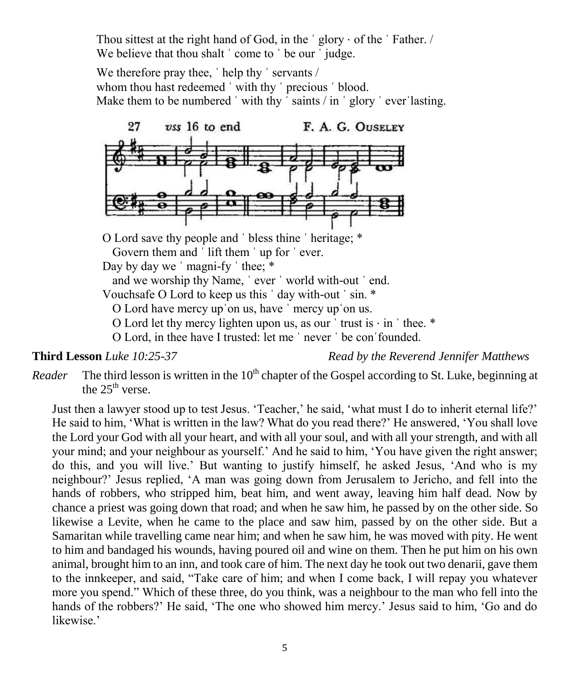Thou sittest at the right hand of God, in the  $\degree$  glory  $\cdot$  of the  $\degree$  Father. / We believe that thou shalt ' come to ' be our ' judge.

We therefore pray thee, 'help thy ' servants / whom thou hast redeemed 'with thy ' precious ' blood. Make them to be numbered 'with thy 'saints / in 'glory 'ever'lasting.



O Lord save thy people and ˈ bless thine ˈ heritage; \* Govern them and 'lift them ' up for ' ever. Day by day we ' magni-fy ' thee;  $*$ and we worship thy Name, ˈ ever ˈ world with-out ˈ end. Vouchsafe O Lord to keep us this ˈ day with-out ˈ sin. \* O Lord have mercy upˈon us, have ˈ mercy upˈon us. O Lord let thy mercy lighten upon us, as our  $'$  trust is  $\cdot$  in  $'$  thee. \*

O Lord, in thee have I trusted: let me ˈ never ˈ be conˈfounded.

**Third Lesson** *Luke 10:25-37 Read by the Reverend Jennifer Matthews*

*Reader* The third lesson is written in the 10<sup>th</sup> chapter of the Gospel according to St. Luke, beginning at the  $25<sup>th</sup>$  verse.

Just then a lawyer stood up to test Jesus. 'Teacher,' he said, 'what must I do to inherit eternal life?' He said to him, 'What is written in the law? What do you read there?' He answered, 'You shall love the Lord your God with all your heart, and with all your soul, and with all your strength, and with all your mind; and your neighbour as yourself.' And he said to him, 'You have given the right answer; do this, and you will live.' But wanting to justify himself, he asked Jesus, 'And who is my neighbour?' Jesus replied, 'A man was going down from Jerusalem to Jericho, and fell into the hands of robbers, who stripped him, beat him, and went away, leaving him half dead. Now by chance a priest was going down that road; and when he saw him, he passed by on the other side. So likewise a Levite, when he came to the place and saw him, passed by on the other side. But a Samaritan while travelling came near him; and when he saw him, he was moved with pity. He went to him and bandaged his wounds, having poured oil and wine on them. Then he put him on his own animal, brought him to an inn, and took care of him. The next day he took out two denarii, gave them to the innkeeper, and said, "Take care of him; and when I come back, I will repay you whatever more you spend." Which of these three, do you think, was a neighbour to the man who fell into the hands of the robbers?' He said, 'The one who showed him mercy.' Jesus said to him, 'Go and do likewise.'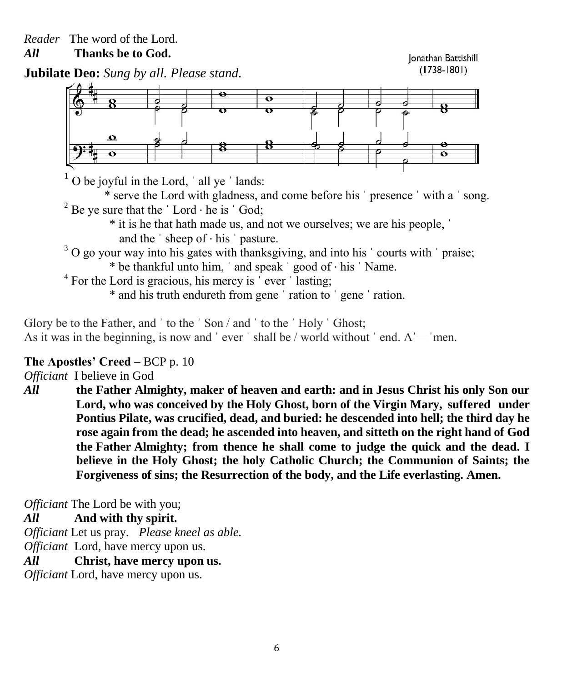*All* **Thanks be to God.**

Ionathan Battishill  $(1738 - 1801)$ 





 $1$  O be joyful in the Lord,  $\dot{\ }$  all ye  $\dot{\ }$  lands:

\* serve the Lord with gladness, and come before his ˈ presence ˈ with a ˈ song. <sup>2</sup> Be ye sure that the  $\dot{\;}$  Lord  $\cdot$  he is  $\dot{\;}$  God;

- \* it is he that hath made us, and not we ourselves; we are his people, ˈ and the  $\cdot$  sheep of  $\cdot$  his  $\cdot$  pasture.
- $3$  O go your way into his gates with thanksgiving, and into his  $\cdot$  courts with  $\cdot$  praise; \* be thankful unto him, ˈ and speak ˈ good of ⋅ his ˈ Name.
- <sup>4</sup> For the Lord is gracious, his mercy is  $\degree$  ever  $\degree$  lasting;
	- \* and his truth endureth from gene ˈ ration to ˈ gene ˈ ration.

Glory be to the Father, and ' to the ' Son / and ' to the ' Holy ' Ghost; As it was in the beginning, is now and 'ever ' shall be / world without ' end. A — men.

## **The Apostles' Creed –** BCP p. 10

*Officiant* I believe in God

*All* **the Father Almighty, maker of heaven and earth: and in Jesus Christ his only Son our Lord, who was conceived by the Holy Ghost, born of the Virgin Mary, suffered under Pontius Pilate, was crucified, dead, and buried: he descended into hell; the third day he rose again from the dead; he ascended into heaven, and sitteth on the right hand of God the Father Almighty; from thence he shall come to judge the quick and the dead. I believe in the Holy Ghost; the holy Catholic Church; the Communion of Saints; the Forgiveness of sins; the Resurrection of the body, and the Life everlasting. Amen.**

*Officiant* The Lord be with you;

### *All* **And with thy spirit.**

*Officiant* Let us pray. *Please kneel as able. Officiant* Lord, have mercy upon us.

*All* **Christ, have mercy upon us.**

*Officiant* Lord, have mercy upon us.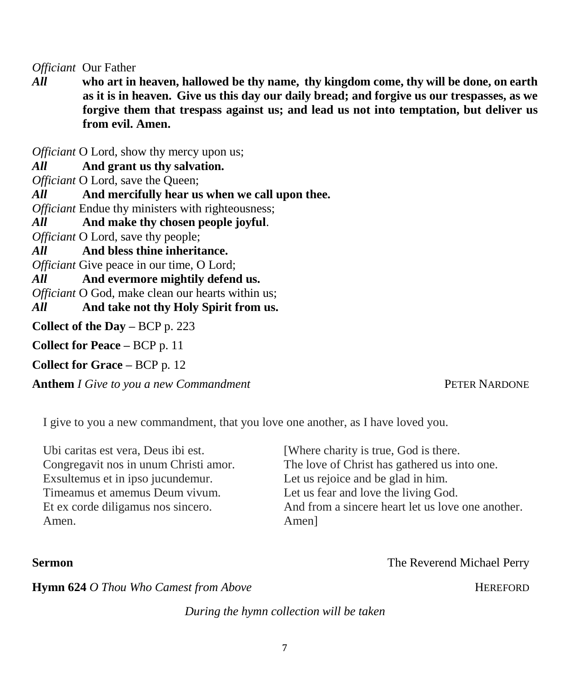*Officiant* Our Father

*All* **who art in heaven, hallowed be thy name, thy kingdom come, thy will be done, on earth as it is in heaven. Give us this day our daily bread; and forgive us our trespasses, as we forgive them that trespass against us; and lead us not into temptation, but deliver us from evil. Amen.**

*Officiant* O Lord, show thy mercy upon us;

*All* **And grant us thy salvation.**

*Officiant* O Lord, save the Queen;

*All* **And mercifully hear us when we call upon thee.**

*Officiant* Endue thy ministers with righteousness;

*All* **And make thy chosen people joyful**.

*Officiant* O Lord, save thy people;

*All* **And bless thine inheritance.**

*Officiant* Give peace in our time, O Lord;

*All* **And evermore mightily defend us.**

*Officiant* O God, make clean our hearts within us:

*All* **And take not thy Holy Spirit from us.**

**Collect of the Day –** BCP p. 223

**Collect for Peace –** BCP p. 11

**Collect for Grace –** BCP p. 12

**Anthem** *I Give to you a new Commandment* **PETER NARDONE** 

I give to you a new commandment, that you love one another, as I have loved you.

| Ubi caritas est vera, Deus ibi est.   | [Where charity is true, God is there.]            |
|---------------------------------------|---------------------------------------------------|
| Congregavit nos in unum Christi amor. | The love of Christ has gathered us into one.      |
| Exsultemus et in ipso jucundemur.     | Let us rejoice and be glad in him.                |
| Timeamus et amemus Deum vivum.        | Let us fear and love the living God.              |
| Et ex corde diligamus nos sincero.    | And from a sincere heart let us love one another. |
| Amen.                                 | Amen]                                             |

### **Sermon The Reverend Michael Perry The Reverend Michael Perry**

**Hymn 624** *O Thou Who Camest from Above HEREFORD* **HEREFORD** 

*During the hymn collection will be taken*